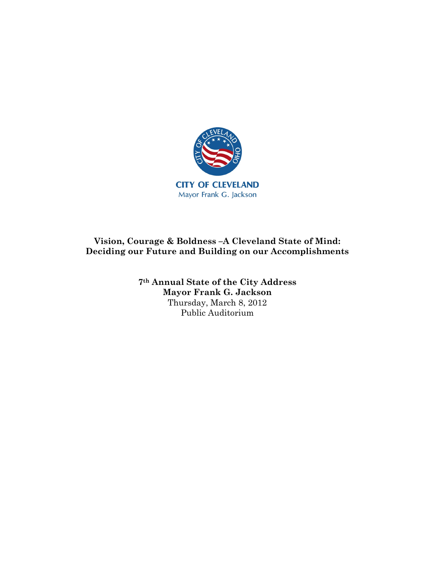

## **Vision, Courage & Boldness –A Cleveland State of Mind: Deciding our Future and Building on our Accomplishments**

**7th Annual State of the City Address Mayor Frank G. Jackson**  Thursday, March 8, 2012 Public Auditorium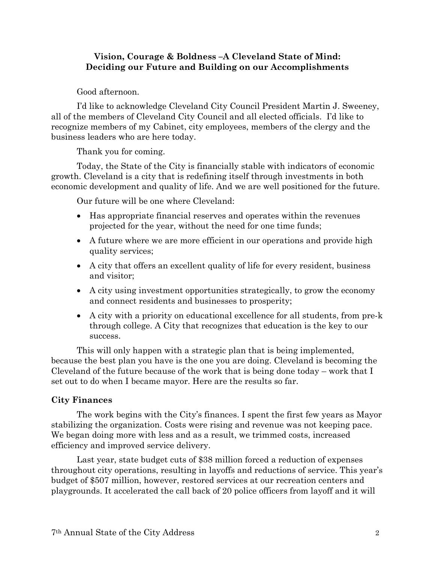#### **Vision, Courage & Boldness –A Cleveland State of Mind: Deciding our Future and Building on our Accomplishments**

Good afternoon.

I'd like to acknowledge Cleveland City Council President Martin J. Sweeney, all of the members of Cleveland City Council and all elected officials. I'd like to recognize members of my Cabinet, city employees, members of the clergy and the business leaders who are here today.

Thank you for coming.

Today, the State of the City is financially stable with indicators of economic growth. Cleveland is a city that is redefining itself through investments in both economic development and quality of life. And we are well positioned for the future.

Our future will be one where Cleveland:

- Has appropriate financial reserves and operates within the revenues projected for the year, without the need for one time funds;
- A future where we are more efficient in our operations and provide high quality services;
- A city that offers an excellent quality of life for every resident, business and visitor;
- A city using investment opportunities strategically, to grow the economy and connect residents and businesses to prosperity;
- A city with a priority on educational excellence for all students, from pre-k through college. A City that recognizes that education is the key to our success.

This will only happen with a strategic plan that is being implemented, because the best plan you have is the one you are doing. Cleveland is becoming the Cleveland of the future because of the work that is being done today – work that I set out to do when I became mayor. Here are the results so far.

## **City Finances**

The work begins with the City's finances. I spent the first few years as Mayor stabilizing the organization. Costs were rising and revenue was not keeping pace. We began doing more with less and as a result, we trimmed costs, increased efficiency and improved service delivery.

Last year, state budget cuts of \$38 million forced a reduction of expenses throughout city operations, resulting in layoffs and reductions of service. This year's budget of \$507 million, however, restored services at our recreation centers and playgrounds. It accelerated the call back of 20 police officers from layoff and it will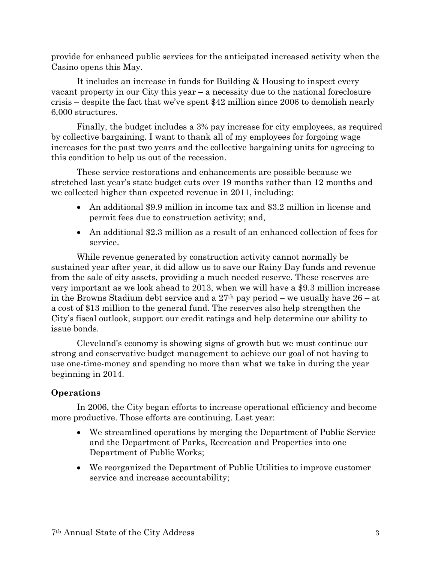provide for enhanced public services for the anticipated increased activity when the Casino opens this May.

It includes an increase in funds for Building & Housing to inspect every vacant property in our City this year – a necessity due to the national foreclosure crisis – despite the fact that we've spent \$42 million since 2006 to demolish nearly 6,000 structures.

Finally, the budget includes a 3% pay increase for city employees, as required by collective bargaining. I want to thank all of my employees for forgoing wage increases for the past two years and the collective bargaining units for agreeing to this condition to help us out of the recession.

These service restorations and enhancements are possible because we stretched last year's state budget cuts over 19 months rather than 12 months and we collected higher than expected revenue in 2011, including:

- An additional \$9.9 million in income tax and \$3.2 million in license and permit fees due to construction activity; and,
- An additional \$2.3 million as a result of an enhanced collection of fees for service.

While revenue generated by construction activity cannot normally be sustained year after year, it did allow us to save our Rainy Day funds and revenue from the sale of city assets, providing a much needed reserve. These reserves are very important as we look ahead to 2013, when we will have a \$9.3 million increase in the Browns Stadium debt service and a  $27<sup>th</sup>$  pay period – we usually have  $26 - at$ a cost of \$13 million to the general fund. The reserves also help strengthen the City's fiscal outlook, support our credit ratings and help determine our ability to issue bonds.

Cleveland's economy is showing signs of growth but we must continue our strong and conservative budget management to achieve our goal of not having to use one-time-money and spending no more than what we take in during the year beginning in 2014.

# **Operations**

In 2006, the City began efforts to increase operational efficiency and become more productive. Those efforts are continuing. Last year:

- We streamlined operations by merging the Department of Public Service and the Department of Parks, Recreation and Properties into one Department of Public Works;
- We reorganized the Department of Public Utilities to improve customer service and increase accountability;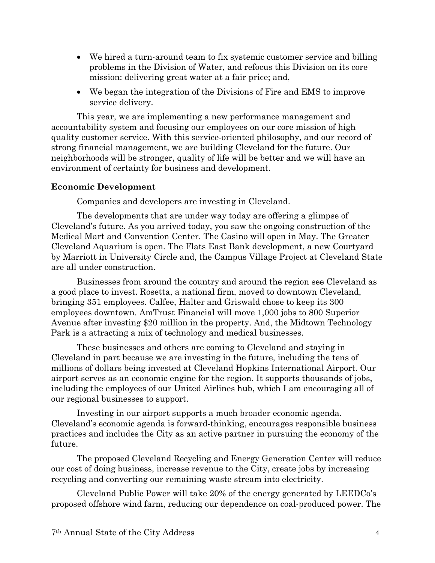- We hired a turn-around team to fix systemic customer service and billing problems in the Division of Water, and refocus this Division on its core mission: delivering great water at a fair price; and,
- We began the integration of the Divisions of Fire and EMS to improve service delivery.

This year, we are implementing a new performance management and accountability system and focusing our employees on our core mission of high quality customer service. With this service-oriented philosophy, and our record of strong financial management, we are building Cleveland for the future. Our neighborhoods will be stronger, quality of life will be better and we will have an environment of certainty for business and development.

### **Economic Development**

Companies and developers are investing in Cleveland.

The developments that are under way today are offering a glimpse of Cleveland's future. As you arrived today, you saw the ongoing construction of the Medical Mart and Convention Center. The Casino will open in May. The Greater Cleveland Aquarium is open. The Flats East Bank development, a new Courtyard by Marriott in University Circle and, the Campus Village Project at Cleveland State are all under construction.

Businesses from around the country and around the region see Cleveland as a good place to invest. Rosetta, a national firm, moved to downtown Cleveland, bringing 351 employees. Calfee, Halter and Griswald chose to keep its 300 employees downtown. AmTrust Financial will move 1,000 jobs to 800 Superior Avenue after investing \$20 million in the property. And, the Midtown Technology Park is a attracting a mix of technology and medical businesses.

These businesses and others are coming to Cleveland and staying in Cleveland in part because we are investing in the future, including the tens of millions of dollars being invested at Cleveland Hopkins International Airport. Our airport serves as an economic engine for the region. It supports thousands of jobs, including the employees of our United Airlines hub, which I am encouraging all of our regional businesses to support.

Investing in our airport supports a much broader economic agenda. Cleveland's economic agenda is forward-thinking, encourages responsible business practices and includes the City as an active partner in pursuing the economy of the future.

The proposed Cleveland Recycling and Energy Generation Center will reduce our cost of doing business, increase revenue to the City, create jobs by increasing recycling and converting our remaining waste stream into electricity.

Cleveland Public Power will take 20% of the energy generated by LEEDCo's proposed offshore wind farm, reducing our dependence on coal-produced power. The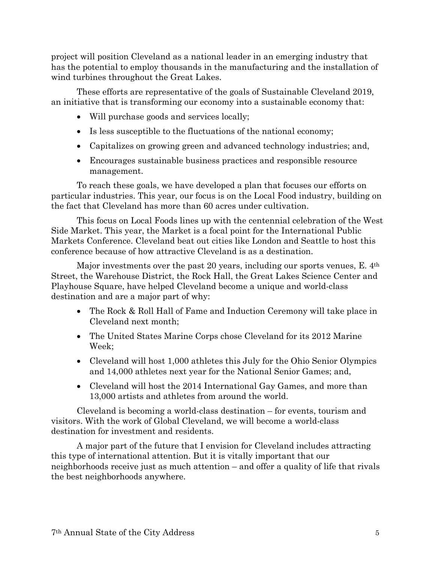project will position Cleveland as a national leader in an emerging industry that has the potential to employ thousands in the manufacturing and the installation of wind turbines throughout the Great Lakes.

These efforts are representative of the goals of Sustainable Cleveland 2019, an initiative that is transforming our economy into a sustainable economy that:

- Will purchase goods and services locally;
- Is less susceptible to the fluctuations of the national economy;
- Capitalizes on growing green and advanced technology industries; and,
- Encourages sustainable business practices and responsible resource management.

To reach these goals, we have developed a plan that focuses our efforts on particular industries. This year, our focus is on the Local Food industry, building on the fact that Cleveland has more than 60 acres under cultivation.

This focus on Local Foods lines up with the centennial celebration of the West Side Market. This year, the Market is a focal point for the International Public Markets Conference. Cleveland beat out cities like London and Seattle to host this conference because of how attractive Cleveland is as a destination.

Major investments over the past 20 years, including our sports venues, E. 4th Street, the Warehouse District, the Rock Hall, the Great Lakes Science Center and Playhouse Square, have helped Cleveland become a unique and world-class destination and are a major part of why:

- The Rock & Roll Hall of Fame and Induction Ceremony will take place in Cleveland next month;
- The United States Marine Corps chose Cleveland for its 2012 Marine Week;
- Cleveland will host 1,000 athletes this July for the Ohio Senior Olympics and 14,000 athletes next year for the National Senior Games; and,
- Cleveland will host the 2014 International Gay Games, and more than 13,000 artists and athletes from around the world.

Cleveland is becoming a world-class destination – for events, tourism and visitors. With the work of Global Cleveland, we will become a world-class destination for investment and residents.

A major part of the future that I envision for Cleveland includes attracting this type of international attention. But it is vitally important that our neighborhoods receive just as much attention – and offer a quality of life that rivals the best neighborhoods anywhere.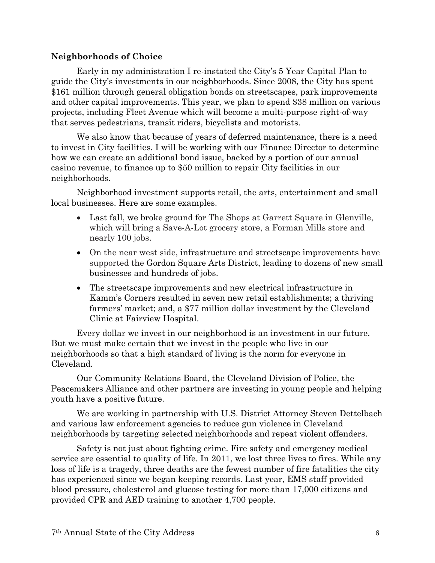#### **Neighborhoods of Choice**

Early in my administration I re-instated the City's 5 Year Capital Plan to guide the City's investments in our neighborhoods. Since 2008, the City has spent \$161 million through general obligation bonds on streetscapes, park improvements and other capital improvements. This year, we plan to spend \$38 million on various projects, including Fleet Avenue which will become a multi-purpose right-of-way that serves pedestrians, transit riders, bicyclists and motorists.

We also know that because of years of deferred maintenance, there is a need to invest in City facilities. I will be working with our Finance Director to determine how we can create an additional bond issue, backed by a portion of our annual casino revenue, to finance up to \$50 million to repair City facilities in our neighborhoods.

Neighborhood investment supports retail, the arts, entertainment and small local businesses. Here are some examples.

- Last fall, we broke ground for The Shops at Garrett Square in Glenville, which will bring a Save-A-Lot grocery store, a Forman Mills store and nearly 100 jobs.
- On the near west side, infrastructure and streetscape improvements have supported the Gordon Square Arts District, leading to dozens of new small businesses and hundreds of jobs.
- The streetscape improvements and new electrical infrastructure in Kamm's Corners resulted in seven new retail establishments; a thriving farmers' market; and, a \$77 million dollar investment by the Cleveland Clinic at Fairview Hospital.

Every dollar we invest in our neighborhood is an investment in our future. But we must make certain that we invest in the people who live in our neighborhoods so that a high standard of living is the norm for everyone in Cleveland.

Our Community Relations Board, the Cleveland Division of Police, the Peacemakers Alliance and other partners are investing in young people and helping youth have a positive future.

We are working in partnership with U.S. District Attorney Steven Dettelbach and various law enforcement agencies to reduce gun violence in Cleveland neighborhoods by targeting selected neighborhoods and repeat violent offenders.

Safety is not just about fighting crime. Fire safety and emergency medical service are essential to quality of life. In 2011, we lost three lives to fires. While any loss of life is a tragedy, three deaths are the fewest number of fire fatalities the city has experienced since we began keeping records. Last year, EMS staff provided blood pressure, cholesterol and glucose testing for more than 17,000 citizens and provided CPR and AED training to another 4,700 people.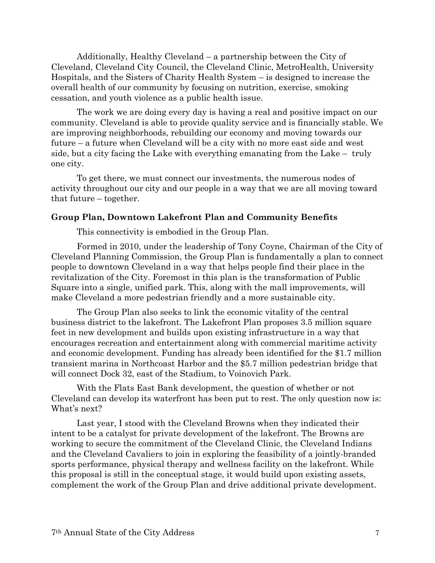Additionally, Healthy Cleveland – a partnership between the City of Cleveland, Cleveland City Council, the Cleveland Clinic, MetroHealth, University Hospitals, and the Sisters of Charity Health System – is designed to increase the overall health of our community by focusing on nutrition, exercise, smoking cessation, and youth violence as a public health issue.

The work we are doing every day is having a real and positive impact on our community. Cleveland is able to provide quality service and is financially stable. We are improving neighborhoods, rebuilding our economy and moving towards our future – a future when Cleveland will be a city with no more east side and west side, but a city facing the Lake with everything emanating from the Lake – truly one city.

To get there, we must connect our investments, the numerous nodes of activity throughout our city and our people in a way that we are all moving toward that future – together.

#### **Group Plan, Downtown Lakefront Plan and Community Benefits**

This connectivity is embodied in the Group Plan.

Formed in 2010, under the leadership of Tony Coyne, Chairman of the City of Cleveland Planning Commission, the Group Plan is fundamentally a plan to connect people to downtown Cleveland in a way that helps people find their place in the revitalization of the City. Foremost in this plan is the transformation of Public Square into a single, unified park. This, along with the mall improvements, will make Cleveland a more pedestrian friendly and a more sustainable city.

The Group Plan also seeks to link the economic vitality of the central business district to the lakefront. The Lakefront Plan proposes 3.5 million square feet in new development and builds upon existing infrastructure in a way that encourages recreation and entertainment along with commercial maritime activity and economic development. Funding has already been identified for the \$1.7 million transient marina in Northcoast Harbor and the \$5.7 million pedestrian bridge that will connect Dock 32, east of the Stadium, to Voinovich Park.

With the Flats East Bank development, the question of whether or not Cleveland can develop its waterfront has been put to rest. The only question now is: What's next?

Last year, I stood with the Cleveland Browns when they indicated their intent to be a catalyst for private development of the lakefront. The Browns are working to secure the commitment of the Cleveland Clinic, the Cleveland Indians and the Cleveland Cavaliers to join in exploring the feasibility of a jointly-branded sports performance, physical therapy and wellness facility on the lakefront. While this proposal is still in the conceptual stage, it would build upon existing assets, complement the work of the Group Plan and drive additional private development.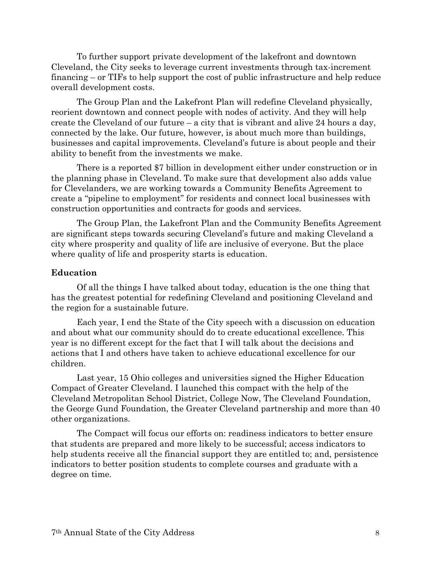To further support private development of the lakefront and downtown Cleveland, the City seeks to leverage current investments through tax-increment financing – or TIFs to help support the cost of public infrastructure and help reduce overall development costs.

The Group Plan and the Lakefront Plan will redefine Cleveland physically, reorient downtown and connect people with nodes of activity. And they will help create the Cleveland of our future – a city that is vibrant and alive 24 hours a day, connected by the lake. Our future, however, is about much more than buildings, businesses and capital improvements. Cleveland's future is about people and their ability to benefit from the investments we make.

There is a reported \$7 billion in development either under construction or in the planning phase in Cleveland. To make sure that development also adds value for Clevelanders, we are working towards a Community Benefits Agreement to create a "pipeline to employment" for residents and connect local businesses with construction opportunities and contracts for goods and services.

The Group Plan, the Lakefront Plan and the Community Benefits Agreement are significant steps towards securing Cleveland's future and making Cleveland a city where prosperity and quality of life are inclusive of everyone. But the place where quality of life and prosperity starts is education.

#### **Education**

Of all the things I have talked about today, education is the one thing that has the greatest potential for redefining Cleveland and positioning Cleveland and the region for a sustainable future.

Each year, I end the State of the City speech with a discussion on education and about what our community should do to create educational excellence. This year is no different except for the fact that I will talk about the decisions and actions that I and others have taken to achieve educational excellence for our children.

Last year, 15 Ohio colleges and universities signed the Higher Education Compact of Greater Cleveland. I launched this compact with the help of the Cleveland Metropolitan School District, College Now, The Cleveland Foundation, the George Gund Foundation, the Greater Cleveland partnership and more than 40 other organizations.

The Compact will focus our efforts on: readiness indicators to better ensure that students are prepared and more likely to be successful; access indicators to help students receive all the financial support they are entitled to; and, persistence indicators to better position students to complete courses and graduate with a degree on time.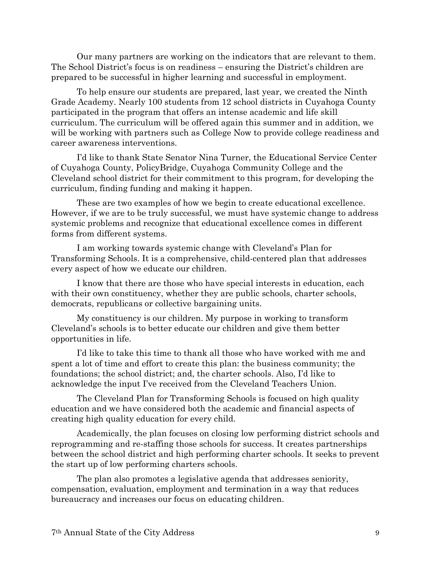Our many partners are working on the indicators that are relevant to them. The School District's focus is on readiness – ensuring the District's children are prepared to be successful in higher learning and successful in employment.

To help ensure our students are prepared, last year, we created the Ninth Grade Academy. Nearly 100 students from 12 school districts in Cuyahoga County participated in the program that offers an intense academic and life skill curriculum. The curriculum will be offered again this summer and in addition, we will be working with partners such as College Now to provide college readiness and career awareness interventions.

I'd like to thank State Senator Nina Turner, the Educational Service Center of Cuyahoga County, PolicyBridge, Cuyahoga Community College and the Cleveland school district for their commitment to this program, for developing the curriculum, finding funding and making it happen.

These are two examples of how we begin to create educational excellence. However, if we are to be truly successful, we must have systemic change to address systemic problems and recognize that educational excellence comes in different forms from different systems.

I am working towards systemic change with Cleveland's Plan for Transforming Schools. It is a comprehensive, child-centered plan that addresses every aspect of how we educate our children.

I know that there are those who have special interests in education, each with their own constituency, whether they are public schools, charter schools, democrats, republicans or collective bargaining units.

My constituency is our children. My purpose in working to transform Cleveland's schools is to better educate our children and give them better opportunities in life.

I'd like to take this time to thank all those who have worked with me and spent a lot of time and effort to create this plan: the business community; the foundations; the school district; and, the charter schools. Also, I'd like to acknowledge the input I've received from the Cleveland Teachers Union.

The Cleveland Plan for Transforming Schools is focused on high quality education and we have considered both the academic and financial aspects of creating high quality education for every child.

Academically, the plan focuses on closing low performing district schools and reprogramming and re-staffing those schools for success. It creates partnerships between the school district and high performing charter schools. It seeks to prevent the start up of low performing charters schools.

The plan also promotes a legislative agenda that addresses seniority, compensation, evaluation, employment and termination in a way that reduces bureaucracy and increases our focus on educating children.